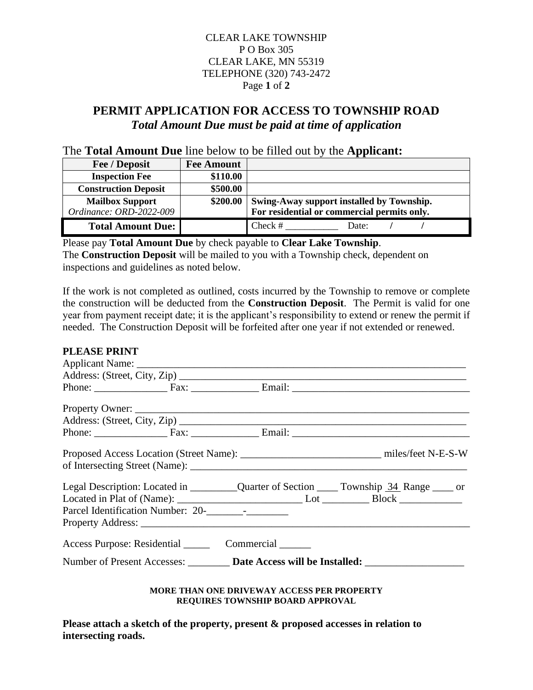## CLEAR LAKE TOWNSHIP P O Box 305 CLEAR LAKE, MN 55319 TELEPHONE (320) 743-2472 Page **1** of **2**

# **PERMIT APPLICATION FOR ACCESS TO TOWNSHIP ROAD** *Total Amount Due must be paid at time of application*

### The **Total Amount Due** line below to be filled out by the **Applicant:**

| Fee / Deposit               | <b>Fee Amount</b> |                                             |
|-----------------------------|-------------------|---------------------------------------------|
| <b>Inspection Fee</b>       | \$110.00          |                                             |
| <b>Construction Deposit</b> | \$500.00          |                                             |
| <b>Mailbox Support</b>      | \$200.00          | Swing-Away support installed by Township.   |
| Ordinance: ORD-2022-009     |                   | For residential or commercial permits only. |
| <b>Total Amount Due:</b>    |                   | $Check \#$<br>Date:                         |

Please pay **Total Amount Due** by check payable to **Clear Lake Township**. The **Construction Deposit** will be mailed to you with a Township check, dependent on inspections and guidelines as noted below.

If the work is not completed as outlined, costs incurred by the Township to remove or complete the construction will be deducted from the **Construction Deposit**. The Permit is valid for one year from payment receipt date; it is the applicant's responsibility to extend or renew the permit if needed. The Construction Deposit will be forfeited after one year if not extended or renewed.

#### **PLEASE PRINT**

|                                   |                                        | Proposed Access Location (Street Name): miles/feet N-E-S-W                        |
|-----------------------------------|----------------------------------------|-----------------------------------------------------------------------------------|
| Parcel Identification Number: 20- |                                        |                                                                                   |
|                                   | Access Purpose: Residential Commercial |                                                                                   |
|                                   |                                        | Number of Present Accesses: Date Access will be Installed: ______________________ |
|                                   |                                        |                                                                                   |

**MORE THAN ONE DRIVEWAY ACCESS PER PROPERTY REQUIRES TOWNSHIP BOARD APPROVAL**

**Please attach a sketch of the property, present & proposed accesses in relation to intersecting roads.**